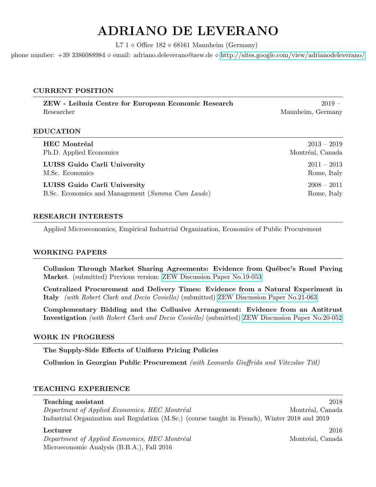# ADRIANO DE LEVERANO

L7  $1 \diamond$  Office  $182 \diamond 68161$  Mannheim (Germany)

phone number: +39 3386088984 email: adriano.deleverano@zew.de <http://sites.google.com/view/adrianodeleverano/>

# CURRENT POSITION

ZEW - Leibniz Centre for European Economic Research 2019 – Researcher Mannheim, Germany

# EDUCATION

| <b>HEC</b> Montréal                              | $2013 - 2019$    |
|--------------------------------------------------|------------------|
| Ph.D. Applied Economics                          | Montréal, Canada |
| LUISS Guido Carli University                     | $2011 - 2013$    |
| M.Sc. Economics                                  | Rome, Italy      |
| LUISS Guido Carli University                     | $2008 - 2011$    |
| B.Sc. Economics and Management (Summa Cum Laude) | Rome, Italy      |

# RESEARCH INTERESTS

Applied Microeconomics, Empirical Industrial Organization, Economics of Public Procurement

## WORKING PAPERS

Collusion Through Market Sharing Agreements: Evidence from Québec's Road Paving Market. (submitted) Previous version: [ZEW Discussion Paper No.19-053](http://ftp.zew.de/pub/zew-docs/dp/dp19053.pdf)

Centralized Procurement and Delivery Times: Evidence from a Natural Experiment in Italy (with Robert Clark and Decio Coviello) (submitted) [ZEW Discussion Paper No.21-063](https://ftp.zew.de/pub/zew-docs/dp/dp21063.pdf)

Complementary Bidding and the Collusive Arrangement: Evidence from an Antitrust Investigation (with Robert Clark and Decio Coviello) (submitted) [ZEW Discussion Paper No.20-052](https://ftp.zew.de/pub/zew-docs/dp/dp20052.pdf)

## WORK IN PROGRESS

The Supply-Side Effects of Uniform Pricing Policies

Collusion in Georgian Public Procurement (with Leonardo Giuffrida and Vitezslav Titl)

# TEACHING EXPERIENCE

# Teaching assistant 2018

Department of Applied Economics, HEC Montréal Montréal Montréal, Canada Industrial Organization and Regulation (M.Sc.) (course taught in French), Winter 2018 and 2019

Department of Applied Economics, HEC Montréal Montréal Montréal, Canada Microeconomic Analysis (B.B.A.), Fall 2016

 $\textbf{Lecturer}$  2016